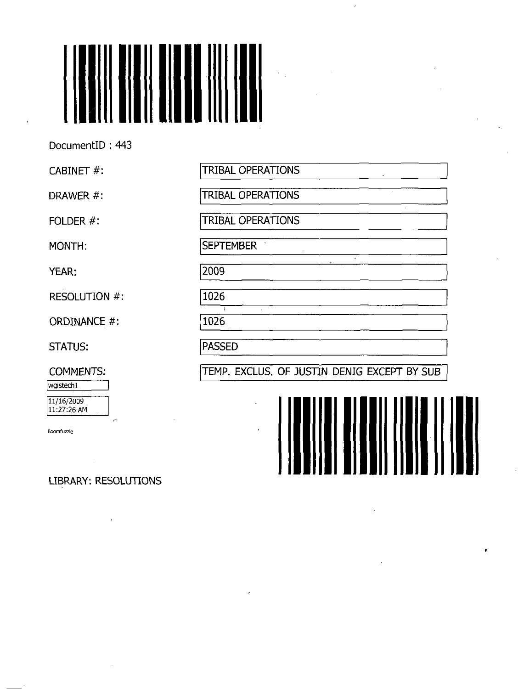

DocumentID : 443

CABINET #:

DRAWER #:

FOLDER #:

MONTH:

YEAR:

RESOLUTION #:

ORDINANCE #:

STATUS:

COMMENTS:

wgistech1 11/16/2009

11:27:26 AM

Boomfuzzle

LIBRARY: RESOLUTIONS

TRIBAL OPERATIONS

TRIBAL OPERATIONS

TRIBAL OPERATIONS

 $\bar{z}$ 

**SEPTEMBER** 

2009

1026

1026

PASSED

TEMP. EXCLUS. OF JUSTIN DENIG EXCEPT BY SUB

 $\hat{J}$ 

 $\mathbf{r}$ 

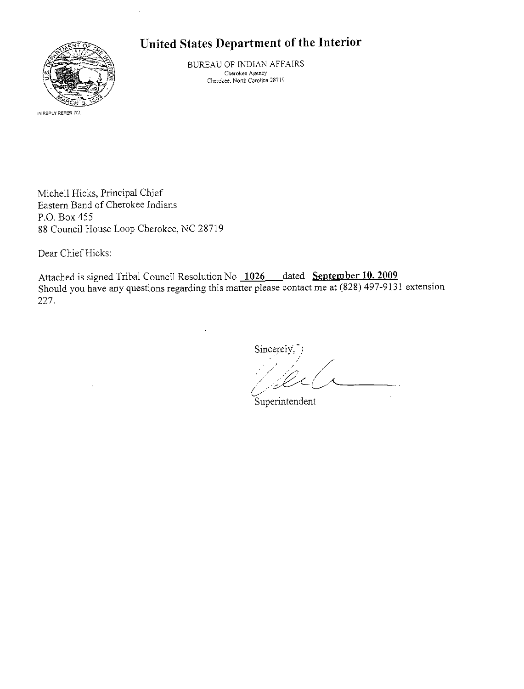## United States Department of the Interior



BUREAU OF INDIAN AFFAIRS Cherokee Agency Cherokee. North Carolina 287! 9

Michell Hicks, Principal Chief Eastern Band of Cherokee Indians P.O. Box 455 88 Council House Loop Cherokee, NC 28719

Dear Chief Hicks:

Attached is signed Tribal Council Resolution No 1026 dated September 10, 2009 Should you have any questions regarding this matter please contact me at (828) 497-9131 extension 227.

Sincerely.

/ y  $\lambda$ 

Superintendent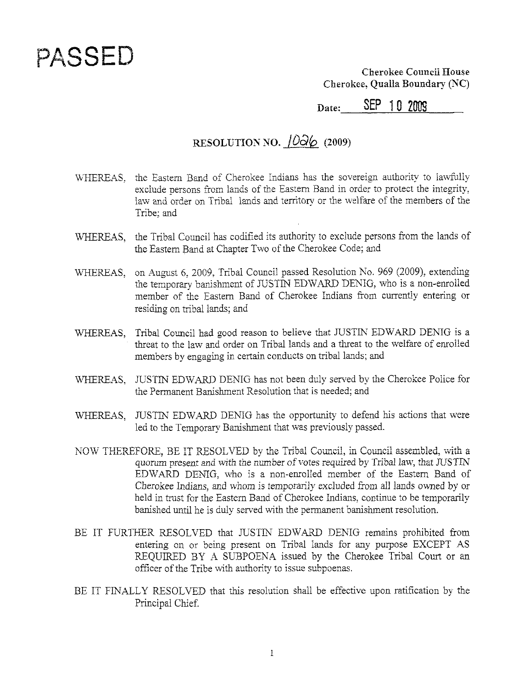## PASSED

Cherokee Council House Cherokee, Qualla Boundary (NC)

SEP 10 2009 Date:

## RESOLUTION NO.  $10\overline{a}6$  (2009)

- WHEREAS, the Eastern Band of Cherokee Indians has the sovereign authority to lawfully exclude persons from lands of the Eastern Band in order to protect the integrity. law and order on Tribal lands and territory or the welfare of the members of the Tribe; and
- WHEREAS, the Tribal Council has codified its authority to exclude persons from the lands of the Eastern Band at Chapter Two of the Cherokee Code; and
- WHEREAS, on August 6, 2009, Tribal Council passed Resolution No. 969 (2009), extending the temporary banishment of JUSTIN EDWARD DENIG, who is a non-enrolled member of the Eastern Band of Cherokee Indians from currently entering or residing on tribal lands; and
- WHEREAS, Tribal Council had good reason to believe that JUSTIN EDWARD DENIG is a threat to the law and order on Tribal lands and a threat to the welfare of enrolled members by engaging in certain conducts on tribal lands; and
- WHEREAS. JUSTIN EDWARD DENIG has not been duly served by the Cherokee Police for the Permanent Banishment Resolution that is needed; and
- WHEREAS, JUSTIN EDWARD DENIG has the opportunity to defend his actions that were led to the Temporary Banishment that was previously passed.
- NOW THEREFORE. BE IT RESOLVED by the Tribal Council, in Council assembled, with a quorum present and with the number of votes required by Tribal law, that JUSTIN EDWARD DENIG, who is a non-enrolled member of the Eastern Band of Cherokee Indians, and whom is temporarily excluded from all lands owned by or held in trust for the Eastern Band of Cherokee Indians, continue to be temporarily banished until he is duly served with the permanent banishment resolution.
- BE IT FURTHER RESOLVED that JUSTIN EDWARD DENIG remains prohibited from entering on or being present on Tribal lands for any purpose EXCEPT AS REQUIRED BY A SUBPOENA issued by the Cherokee Tribal Court or an officer of the Tribe with authority to issue subpoenas.
- BE IT FINALLY RESOLVED that this resolution shall be effective upon ratification by the Principal Chief.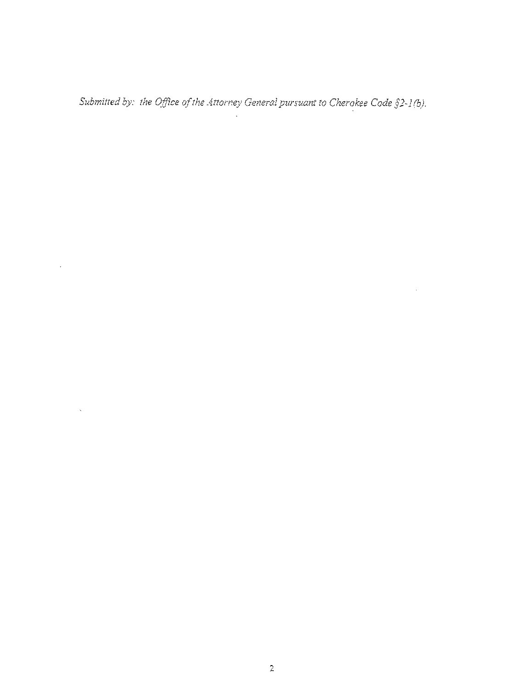Submitted by: the Office of the Attorney General pursuant to Cherokee Code  $\S 2$ -1(b).

 $\mathcal{L}(\mathcal{L}^{\mathcal{L}})$  and  $\mathcal{L}(\mathcal{L}^{\mathcal{L}})$  . The contribution of  $\mathcal{L}^{\mathcal{L}}$ 

 $\bar{z}$ 

 $\label{eq:1} \mathbf{S}^{(1)} = \mathbf{S}^{(1)} \mathbf{S}^{(1)} + \mathbf{S}^{(1)} \mathbf{S}^{(1)} + \mathbf{S}^{(1)} \mathbf{S}^{(1)}$